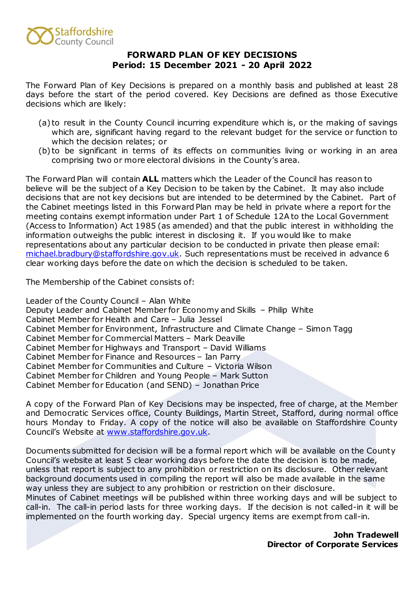

## **FORWARD PLAN OF KEY DECISIONS Period: 15 December 2021 - 20 April 2022**

The Forward Plan of Key Decisions is prepared on a monthly basis and published at least 28 days before the start of the period covered. Key Decisions are defined as those Executive decisions which are likely:

- (a) to result in the County Council incurring expenditure which is, or the making of savings which are, significant having regard to the relevant budget for the service or function to which the decision relates; or
- (b) to be significant in terms of its effects on communities living or working in an area comprising two or more electoral divisions in the County's area.

The Forward Plan will contain **ALL** matters which the Leader of the Council has reason to believe will be the subject of a Key Decision to be taken by the Cabinet. It may also include decisions that are not key decisions but are intended to be determined by the Cabinet. Part of the Cabinet meetings listed in this Forward Plan may be held in private where a report for the meeting contains exempt information under Part 1 of Schedule 12A to the Local Government (Access to Information) Act 1985 (as amended) and that the public interest in withholding the information outweighs the public interest in disclosing it. If you would like to make representations about any particular decision to be conducted in private then please email: [michael.bradbury@staffordshire.gov.uk.](mailto:michael.bradbury@staffordshire.gov.uk) Such representations must be received in advance 6 clear working days before the date on which the decision is scheduled to be taken.

The Membership of the Cabinet consists of:

Leader of the County Council – Alan White Deputy Leader and Cabinet Member for Economy and Skills – Philip White Cabinet Member for Health and Care – Julia Jessel Cabinet Member for Environment, Infrastructure and Climate Change – Simon Tagg Cabinet Member for Commercial Matters – Mark Deaville Cabinet Member for Highways and Transport – David Williams Cabinet Member for Finance and Resources – Ian Parry Cabinet Member for Communities and Culture – Victoria Wilson Cabinet Member for Children and Young People – Mark Sutton Cabinet Member for Education (and SEND) – Jonathan Price

A copy of the Forward Plan of Key Decisions may be inspected, free of charge, at the Member and Democratic Services office, County Buildings, Martin Street, Stafford, during normal office hours Monday to Friday. A copy of the notice will also be available on Staffordshire County Council's Website at [www.staffordshire.gov.uk.](http://www.staffordshire.gov.uk/)

Documents submitted for decision will be a formal report which will be available on the County Council's website at least 5 clear working days before the date the decision is to be made, unless that report is subject to any prohibition or restriction on its disclosure. Other relevant background documents used in compiling the report will also be made available in the same way unless they are subject to any prohibition or restriction on their disclosure.

Minutes of Cabinet meetings will be published within three working days and will be subject to call-in. The call-in period lasts for three working days. If the decision is not called-in it will be implemented on the fourth working day. Special urgency items are exempt from call-in.

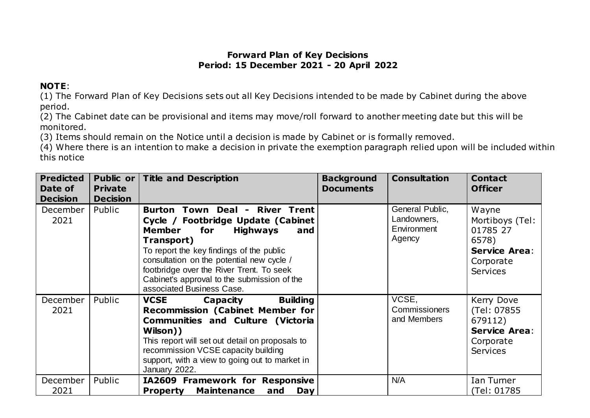## **Forward Plan of Key Decisions Period: 15 December 2021 - 20 April 2022**

## **NOTE**:

(1) The Forward Plan of Key Decisions sets out all Key Decisions intended to be made by Cabinet during the above period.

(2) The Cabinet date can be provisional and items may move/roll forward to another meeting date but this will be monitored.

(3) Items should remain on the Notice until a decision is made by Cabinet or is formally removed.

(4) Where there is an intention to make a decision in private the exemption paragraph relied upon will be included within this notice

| <b>Predicted</b><br>Date of<br><b>Decision</b> | <b>Private</b><br><b>Decision</b> | Public or Title and Description                                                                                                                                                                                                                                                                                                                       | <b>Background</b><br><b>Documents</b> | <b>Consultation</b>                                     | <b>Contact</b><br><b>Officer</b>                                                                      |
|------------------------------------------------|-----------------------------------|-------------------------------------------------------------------------------------------------------------------------------------------------------------------------------------------------------------------------------------------------------------------------------------------------------------------------------------------------------|---------------------------------------|---------------------------------------------------------|-------------------------------------------------------------------------------------------------------|
| December<br>2021                               | Public                            | Burton Town Deal - River Trent<br>Cycle / Footbridge Update (Cabinet<br><b>Member</b><br>for<br><b>Highways</b><br>and<br>Transport)<br>To report the key findings of the public<br>consultation on the potential new cycle /<br>footbridge over the River Trent. To seek<br>Cabinet's approval to the submission of the<br>associated Business Case. |                                       | General Public,<br>Landowners,<br>Environment<br>Agency | Wayne<br>Mortiboys (Tel:<br>01785 27<br>6578)<br><b>Service Area:</b><br>Corporate<br><b>Services</b> |
| December<br>2021                               | Public                            | <b>Building</b><br><b>VCSE</b><br>Capacity<br><b>Recommission (Cabinet Member for</b><br><b>Communities and Culture (Victoria</b><br>Wilson))<br>This report will set out detail on proposals to<br>recommission VCSE capacity building<br>support, with a view to going out to market in<br>January 2022.                                            |                                       | VCSE,<br><b>Commissioners</b><br>and Members            | Kerry Dove<br>(Tel: 07855<br>679112)<br><b>Service Area:</b><br>Corporate<br><b>Services</b>          |
| December<br>2021                               | Public                            | IA2609 Framework for Responsive<br><b>Maintenance</b><br><b>Property</b><br>and<br><b>Day</b>                                                                                                                                                                                                                                                         |                                       | N/A                                                     | Ian Turner<br>(Tel: 01785)                                                                            |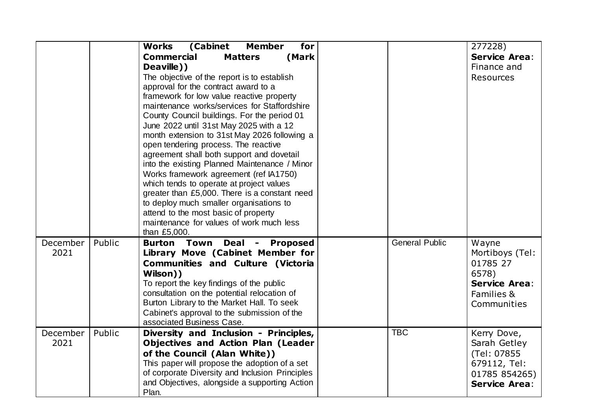|                  |        | (Cabinet<br>Works<br><b>Member</b><br>for<br><b>Commercial</b><br>(Mark<br><b>Matters</b><br>Deaville))<br>The objective of the report is to establish<br>approval for the contract award to a<br>framework for low value reactive property<br>maintenance works/services for Staffordshire<br>County Council buildings. For the period 01<br>June 2022 until 31st May 2025 with a 12<br>month extension to 31st May 2026 following a<br>open tendering process. The reactive<br>agreement shall both support and dovetail<br>into the existing Planned Maintenance / Minor<br>Works framework agreement (ref IA1750)<br>which tends to operate at project values<br>greater than £5,000. There is a constant need<br>to deploy much smaller organisations to<br>attend to the most basic of property<br>maintenance for values of work much less<br>than £5,000. |                       | 277228)<br><b>Service Area:</b><br>Finance and<br><b>Resources</b>                                  |
|------------------|--------|-------------------------------------------------------------------------------------------------------------------------------------------------------------------------------------------------------------------------------------------------------------------------------------------------------------------------------------------------------------------------------------------------------------------------------------------------------------------------------------------------------------------------------------------------------------------------------------------------------------------------------------------------------------------------------------------------------------------------------------------------------------------------------------------------------------------------------------------------------------------|-----------------------|-----------------------------------------------------------------------------------------------------|
| December<br>2021 | Public | <b>Burton Town</b><br>Deal<br>- Proposed<br>Library Move (Cabinet Member for<br><b>Communities and Culture (Victoria</b><br>Wilson))<br>To report the key findings of the public<br>consultation on the potential relocation of<br>Burton Library to the Market Hall. To seek<br>Cabinet's approval to the submission of the<br>associated Business Case.                                                                                                                                                                                                                                                                                                                                                                                                                                                                                                         | <b>General Public</b> | Wayne<br>Mortiboys (Tel:<br>01785 27<br>6578)<br><b>Service Area:</b><br>Families &<br>Communities  |
| December<br>2021 | Public | Diversity and Inclusion - Principles,<br><b>Objectives and Action Plan (Leader</b><br>of the Council (Alan White))<br>This paper will propose the adoption of a set<br>of corporate Diversity and Inclusion Principles<br>and Objectives, alongside a supporting Action<br>Plan.                                                                                                                                                                                                                                                                                                                                                                                                                                                                                                                                                                                  | <b>TBC</b>            | Kerry Dove,<br>Sarah Getley<br>(Tel: 07855<br>679112, Tel:<br>01785 854265)<br><b>Service Area:</b> |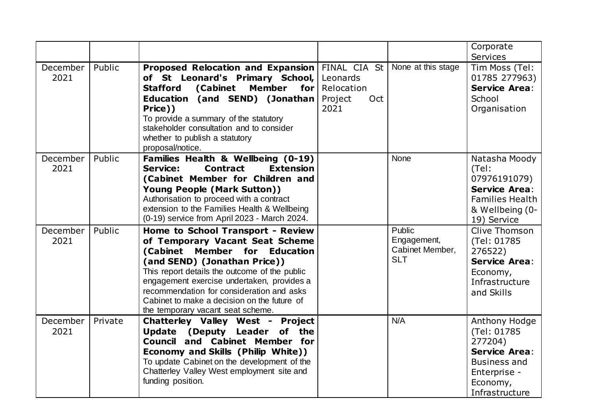|                  |         |                                                                                                                                                                                                                                                                                                                                                                       |                                                  |                                                        | Corporate<br><b>Services</b>                                                                                                         |
|------------------|---------|-----------------------------------------------------------------------------------------------------------------------------------------------------------------------------------------------------------------------------------------------------------------------------------------------------------------------------------------------------------------------|--------------------------------------------------|--------------------------------------------------------|--------------------------------------------------------------------------------------------------------------------------------------|
| December<br>2021 | Public  | Proposed Relocation and Expansion FINAL CIA St<br>of St Leonard's Primary School,<br><b>Stafford</b><br>(Cabinet<br><b>Member</b><br>for $ $<br>Education (and SEND) (Jonathan<br>Price))<br>To provide a summary of the statutory<br>stakeholder consultation and to consider<br>whether to publish a statutory<br>proposal/notice.                                  | Leonards<br>Relocation<br>Project<br>Oct<br>2021 | None at this stage                                     | Tim Moss (Tel:<br>01785 277963)<br><b>Service Area:</b><br>School<br>Organisation                                                    |
| December<br>2021 | Public  | Families Health & Wellbeing (0-19)<br><b>Extension</b><br>Service:<br><b>Contract</b><br>(Cabinet Member for Children and<br>Young People (Mark Sutton))<br>Authorisation to proceed with a contract<br>extension to the Families Health & Wellbeing<br>(0-19) service from April 2023 - March 2024.                                                                  |                                                  | None                                                   | Natasha Moody<br>(Tel:<br>07976191079)<br><b>Service Area:</b><br><b>Families Health</b><br>& Wellbeing (0-<br>19) Service           |
| December<br>2021 | Public  | Home to School Transport - Review<br>of Temporary Vacant Seat Scheme<br>(Cabinet Member for Education<br>(and SEND) (Jonathan Price))<br>This report details the outcome of the public<br>engagement exercise undertaken, provides a<br>recommendation for consideration and asks<br>Cabinet to make a decision on the future of<br>the temporary vacant seat scheme. |                                                  | Public<br>Engagement,<br>Cabinet Member,<br><b>SLT</b> | Clive Thomson<br>(Tel: 01785<br>276522)<br><b>Service Area:</b><br>Economy,<br>Infrastructure<br>and Skills                          |
| December<br>2021 | Private | <b>Chatterley Valley West - Project</b><br>Update (Deputy Leader of the<br><b>Council and Cabinet Member for</b><br>Economy and Skills (Philip White))<br>To update Cabinet on the development of the<br>Chatterley Valley West employment site and<br>funding position.                                                                                              |                                                  | N/A                                                    | Anthony Hodge<br>(Tel: 01785<br>277204)<br><b>Service Area:</b><br><b>Business and</b><br>Enterprise -<br>Economy,<br>Infrastructure |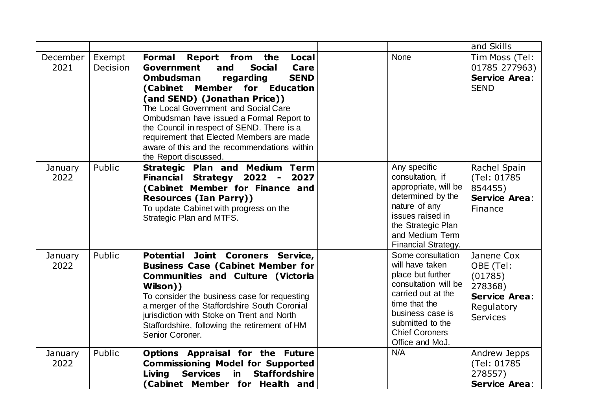|                  |                    |                                                                                                                                                                                                                                                                                                                                                                                                                                                                        |                                                                                                                                                                                                              | and Skills                                                                                             |
|------------------|--------------------|------------------------------------------------------------------------------------------------------------------------------------------------------------------------------------------------------------------------------------------------------------------------------------------------------------------------------------------------------------------------------------------------------------------------------------------------------------------------|--------------------------------------------------------------------------------------------------------------------------------------------------------------------------------------------------------------|--------------------------------------------------------------------------------------------------------|
| December<br>2021 | Exempt<br>Decision | Formal<br>Report from the<br><b>Local</b><br>Government<br>and<br><b>Social</b><br>Care<br><b>SEND</b><br><b>Ombudsman</b><br>regarding<br>(Cabinet<br>Member<br>for Education<br>(and SEND) (Jonathan Price))<br>The Local Government and Social Care<br>Ombudsman have issued a Formal Report to<br>the Council in respect of SEND. There is a<br>requirement that Elected Members are made<br>aware of this and the recommendations within<br>the Report discussed. | <b>None</b>                                                                                                                                                                                                  | Tim Moss (Tel:<br>01785 277963)<br><b>Service Area:</b><br><b>SEND</b>                                 |
| January<br>2022  | Public             | Strategic Plan and Medium Term<br>Financial Strategy 2022 - 2027<br>(Cabinet Member for Finance and<br><b>Resources (Ian Parry))</b><br>To update Cabinet with progress on the<br>Strategic Plan and MTFS.                                                                                                                                                                                                                                                             | Any specific<br>consultation, if<br>appropriate, will be<br>determined by the<br>nature of any<br>issues raised in<br>the Strategic Plan<br>and Medium Term<br>Financial Strategy.                           | Rachel Spain<br>(Tel: 01785)<br>854455)<br><b>Service Area:</b><br>Finance                             |
| January<br>2022  | Public             | Potential Joint Coroners Service,<br><b>Business Case (Cabinet Member for</b><br><b>Communities and Culture (Victoria</b><br>Wilson))<br>To consider the business case for requesting<br>a merger of the Staffordshire South Coronial<br>jurisdiction with Stoke on Trent and North<br>Staffordshire, following the retirement of HM<br>Senior Coroner.                                                                                                                | Some consultation<br>will have taken<br>place but further<br>consultation will be<br>carried out at the<br>time that the<br>business case is<br>submitted to the<br><b>Chief Coroners</b><br>Office and MoJ. | Janene Cox<br>OBE (Tel:<br>(01785)<br>278368)<br><b>Service Area:</b><br>Regulatory<br><b>Services</b> |
| January<br>2022  | Public             | Options Appraisal for the Future<br><b>Commissioning Model for Supported</b><br>in.<br><b>Staffordshire</b><br><b>Services</b><br>Living<br>(Cabinet Member for Health and                                                                                                                                                                                                                                                                                             | N/A                                                                                                                                                                                                          | Andrew Jepps<br>(Tel: 01785)<br>278557)<br><b>Service Area:</b>                                        |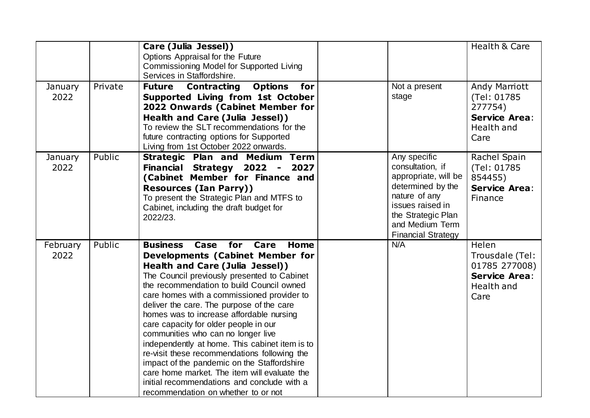| January          | Private | Care (Julia Jessel))<br>Options Appraisal for the Future<br>Commissioning Model for Supported Living<br>Services in Staffordshire.<br><b>Future Contracting</b><br><b>Options</b><br>for                                                                                                                                                                                                                                                                                                                                                                                                                                                                                                                                              | Not a present                                                                                                                                                                            | Health & Care<br>Andy Marriott                                                          |
|------------------|---------|---------------------------------------------------------------------------------------------------------------------------------------------------------------------------------------------------------------------------------------------------------------------------------------------------------------------------------------------------------------------------------------------------------------------------------------------------------------------------------------------------------------------------------------------------------------------------------------------------------------------------------------------------------------------------------------------------------------------------------------|------------------------------------------------------------------------------------------------------------------------------------------------------------------------------------------|-----------------------------------------------------------------------------------------|
| 2022             |         | Supported Living from 1st October<br>2022 Onwards (Cabinet Member for<br>Health and Care (Julia Jessel))<br>To review the SLT recommendations for the<br>future contracting options for Supported<br>Living from 1st October 2022 onwards.                                                                                                                                                                                                                                                                                                                                                                                                                                                                                            | stage                                                                                                                                                                                    | (Tel: 01785)<br>277754)<br><b>Service Area:</b><br>Health and<br>Care                   |
| January<br>2022  | Public  | <b>Strategic Plan and Medium Term</b><br>Financial Strategy 2022 -<br>2027<br>(Cabinet Member for Finance and<br><b>Resources (Ian Parry))</b><br>To present the Strategic Plan and MTFS to<br>Cabinet, including the draft budget for<br>2022/23.                                                                                                                                                                                                                                                                                                                                                                                                                                                                                    | Any specific<br>consultation, if<br>appropriate, will be<br>determined by the<br>nature of any<br>issues raised in<br>the Strategic Plan<br>and Medium Term<br><b>Financial Strategy</b> | Rachel Spain<br>(Tel: 01785)<br>854455)<br><b>Service Area:</b><br>Finance              |
| February<br>2022 | Public  | for<br>Care<br>Home<br><b>Business</b><br>Case<br><b>Developments (Cabinet Member for</b><br>Health and Care (Julia Jessel))<br>The Council previously presented to Cabinet<br>the recommendation to build Council owned<br>care homes with a commissioned provider to<br>deliver the care. The purpose of the care<br>homes was to increase affordable nursing<br>care capacity for older people in our<br>communities who can no longer live<br>independently at home. This cabinet item is to<br>re-visit these recommendations following the<br>impact of the pandemic on the Staffordshire<br>care home market. The item will evaluate the<br>initial recommendations and conclude with a<br>recommendation on whether to or not | N/A                                                                                                                                                                                      | Helen<br>Trousdale (Tel:<br>01785 277008)<br><b>Service Area:</b><br>Health and<br>Care |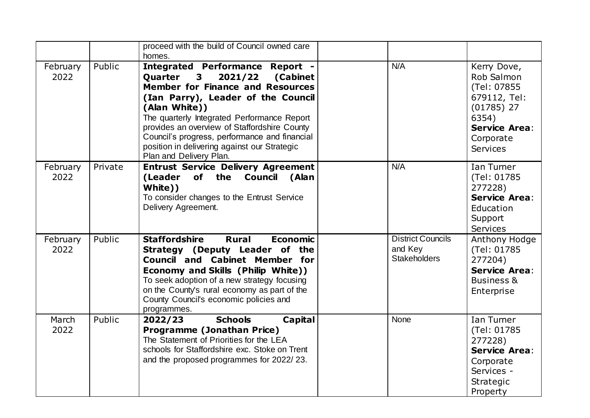|                  |         | proceed with the build of Council owned care<br>homes.                                                                                                                                                                                                                                                                                                                                                                  |                                                            |                                                                                                                                    |
|------------------|---------|-------------------------------------------------------------------------------------------------------------------------------------------------------------------------------------------------------------------------------------------------------------------------------------------------------------------------------------------------------------------------------------------------------------------------|------------------------------------------------------------|------------------------------------------------------------------------------------------------------------------------------------|
| February<br>2022 | Public  | <b>Integrated Performance Report -</b><br>3 <sup>7</sup><br>2021/22<br>(Cabinet<br>Quarter<br><b>Member for Finance and Resources</b><br>(Ian Parry), Leader of the Council<br>(Alan White))<br>The quarterly Integrated Performance Report<br>provides an overview of Staffordshire County<br>Council's progress, performance and financial<br>position in delivering against our Strategic<br>Plan and Delivery Plan. | N/A                                                        | Kerry Dove,<br>Rob Salmon<br>(Tel: 07855<br>679112, Tel:<br>$(01785)$ 27<br>6354)<br><b>Service Area:</b><br>Corporate<br>Services |
| February<br>2022 | Private | Entrust Service Delivery Agreement<br>(Leader of the Council (Alan<br>White))<br>To consider changes to the Entrust Service<br>Delivery Agreement.                                                                                                                                                                                                                                                                      | N/A                                                        | Ian Turner<br>(Tel: 01785)<br>277228)<br><b>Service Area:</b><br>Education<br>Support<br><b>Services</b>                           |
| February<br>2022 | Public  | <b>Staffordshire</b><br><b>Rural</b><br><b>Economic</b><br>Strategy (Deputy Leader of the<br><b>Council and Cabinet Member for</b><br>Economy and Skills (Philip White))<br>To seek adoption of a new strategy focusing<br>on the County's rural economy as part of the<br>County Council's economic policies and<br>programmes.                                                                                        | <b>District Councils</b><br>and Key<br><b>Stakeholders</b> | Anthony Hodge<br>(Tel: 01785<br>277204)<br><b>Service Area:</b><br><b>Business &amp;</b><br>Enterprise                             |
| March<br>2022    | Public  | <b>Schools</b><br>Capital<br>2022/23<br><b>Programme (Jonathan Price)</b><br>The Statement of Priorities for the LEA<br>schools for Staffordshire exc. Stoke on Trent<br>and the proposed programmes for 2022/23.                                                                                                                                                                                                       | <b>None</b>                                                | Ian Turner<br>(Tel: 01785)<br>277228)<br><b>Service Area:</b><br>Corporate<br>Services -<br>Strategic<br>Property                  |